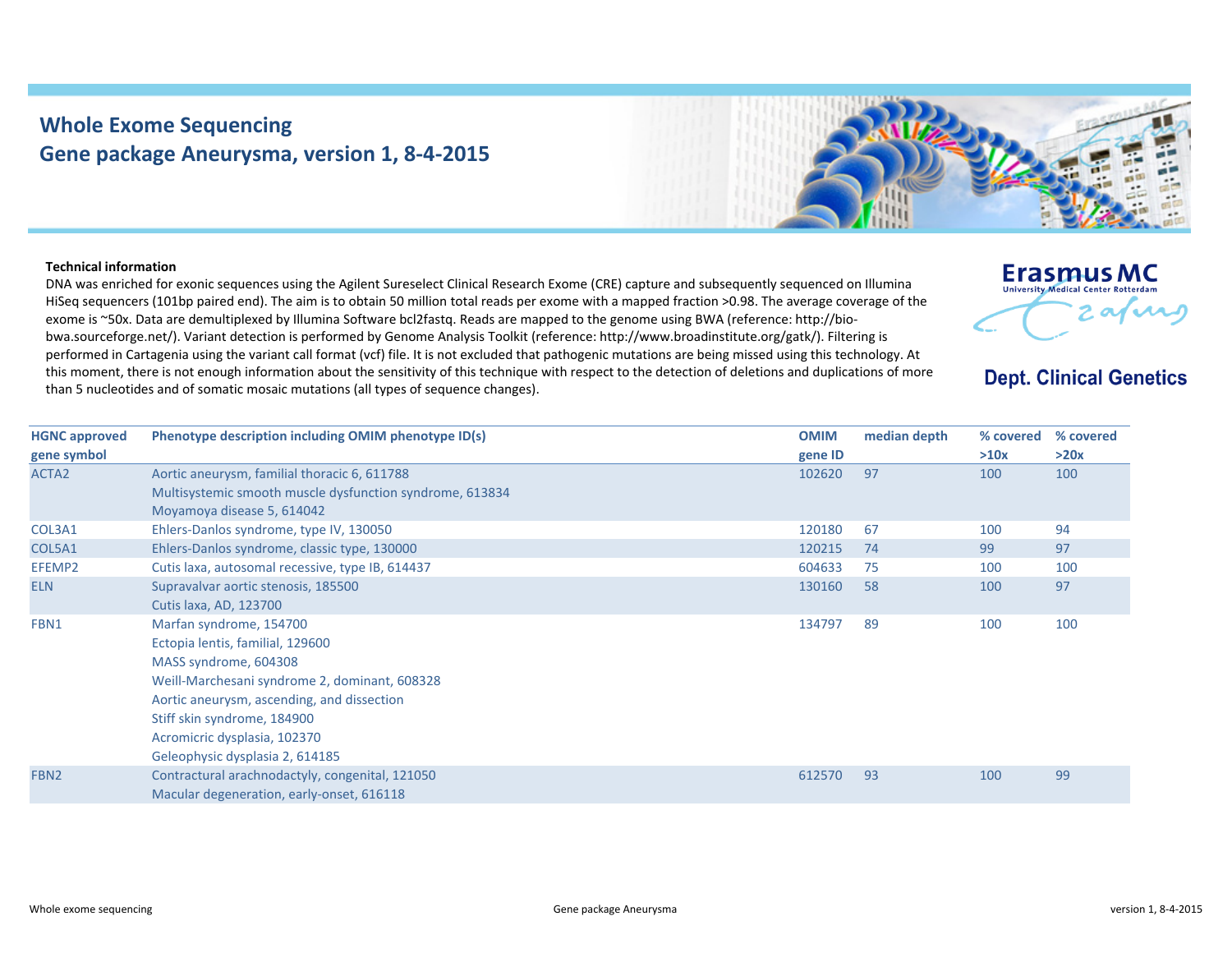## **Whole Exome Sequencing Gene package Aneurysma, version 1, 8‐4‐2015**



## **Technical information**

DNA was enriched for exonic sequences using the Agilent Sureselect Clinical Research Exome (CRE) capture and subsequently sequenced on Illumina HiSeq sequencers (101bp paired end). The aim is to obtain 50 million total reads per exome with <sup>a</sup> mapped fraction >0.98. The average coverage of the exome is ~50x. Data are demultiplexed by Illumina Software bcl2fastq. Reads are mapped to the genome using BWA (reference: http://biobwa.sourceforge.net/). Variant detection is performed by Genome Analysis Toolkit (reference: http://www.broadinstitute.org/gatk/). Filtering is performed in Cartagenia using the variant call format (vcf) file. It is not excluded that pathogenic mutations are being missed using this technology. At this moment, there is not enough information about the sensitivity of this technique with respect to the detection of deletions and duplications of more than 5 nucleotides and of somatic mosaic mutations (all types of sequence changes).



**Dept. Clinical Genetics** 

| <b>HGNC approved</b> | Phenotype description including OMIM phenotype ID(s)                                                     | <b>OMIM</b> | median depth | % covered | % covered |
|----------------------|----------------------------------------------------------------------------------------------------------|-------------|--------------|-----------|-----------|
| gene symbol          |                                                                                                          | gene ID     |              | >10x      | >20x      |
| ACTA2                | Aortic aneurysm, familial thoracic 6, 611788<br>Multisystemic smooth muscle dysfunction syndrome, 613834 | 102620      | 97           | 100       | 100       |
|                      | Moyamoya disease 5, 614042                                                                               |             |              |           |           |
| COL3A1               | Ehlers-Danlos syndrome, type IV, 130050                                                                  | 120180      | 67           | 100       | 94        |
| COL5A1               | Ehlers-Danlos syndrome, classic type, 130000                                                             | 120215      | 74           | 99        | 97        |
| EFEMP2               | Cutis laxa, autosomal recessive, type IB, 614437                                                         | 604633      | 75           | 100       | 100       |
| <b>ELN</b>           | Supravalvar aortic stenosis, 185500                                                                      | 130160      | 58           | 100       | 97        |
|                      | Cutis laxa, AD, 123700                                                                                   |             |              |           |           |
| FBN1                 | Marfan syndrome, 154700                                                                                  | 134797      | 89           | 100       | 100       |
|                      | Ectopia lentis, familial, 129600                                                                         |             |              |           |           |
|                      | MASS syndrome, 604308                                                                                    |             |              |           |           |
|                      | Weill-Marchesani syndrome 2, dominant, 608328                                                            |             |              |           |           |
|                      | Aortic aneurysm, ascending, and dissection                                                               |             |              |           |           |
|                      | Stiff skin syndrome, 184900                                                                              |             |              |           |           |
|                      | Acromicric dysplasia, 102370                                                                             |             |              |           |           |
|                      | Geleophysic dysplasia 2, 614185                                                                          |             |              |           |           |
| FBN <sub>2</sub>     | Contractural arachnodactyly, congenital, 121050                                                          | 612570      | 93           | 100       | 99        |
|                      | Macular degeneration, early-onset, 616118                                                                |             |              |           |           |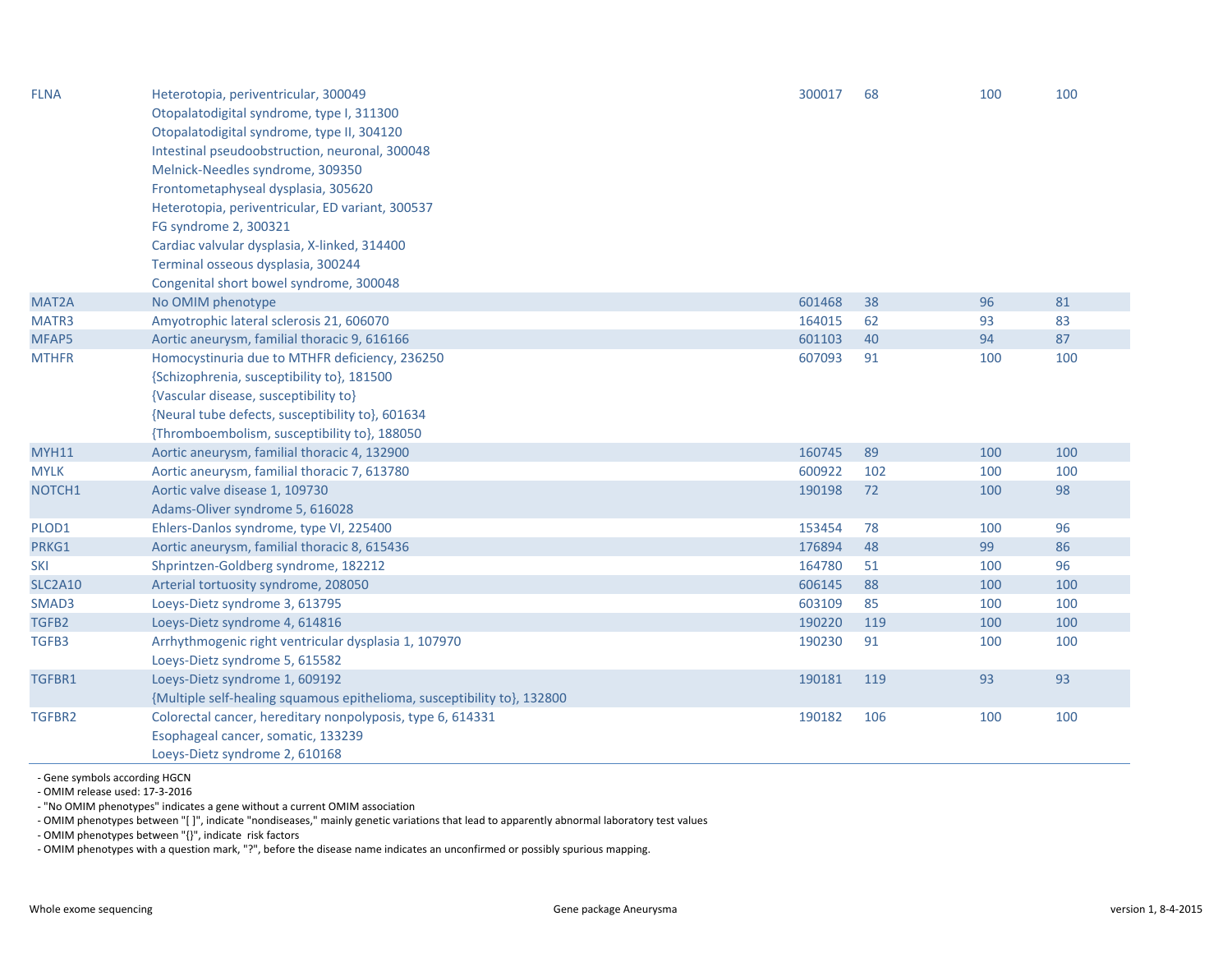| <b>FLNA</b>    | Heterotopia, periventricular, 300049<br>Otopalatodigital syndrome, type I, 311300<br>Otopalatodigital syndrome, type II, 304120<br>Intestinal pseudoobstruction, neuronal, 300048<br>Melnick-Needles syndrome, 309350<br>Frontometaphyseal dysplasia, 305620<br>Heterotopia, periventricular, ED variant, 300537<br>FG syndrome 2, 300321<br>Cardiac valvular dysplasia, X-linked, 314400 | 300017 | 68  | 100 | 100 |
|----------------|-------------------------------------------------------------------------------------------------------------------------------------------------------------------------------------------------------------------------------------------------------------------------------------------------------------------------------------------------------------------------------------------|--------|-----|-----|-----|
|                | Terminal osseous dysplasia, 300244                                                                                                                                                                                                                                                                                                                                                        |        |     |     |     |
|                | Congenital short bowel syndrome, 300048                                                                                                                                                                                                                                                                                                                                                   |        |     |     |     |
| MAT2A          | No OMIM phenotype                                                                                                                                                                                                                                                                                                                                                                         | 601468 | 38  | 96  | 81  |
| MATR3          | Amyotrophic lateral sclerosis 21, 606070                                                                                                                                                                                                                                                                                                                                                  | 164015 | 62  | 93  | 83  |
| MFAP5          | Aortic aneurysm, familial thoracic 9, 616166                                                                                                                                                                                                                                                                                                                                              | 601103 | 40  | 94  | 87  |
| <b>MTHFR</b>   | Homocystinuria due to MTHFR deficiency, 236250<br>{Schizophrenia, susceptibility to}, 181500<br>{Vascular disease, susceptibility to}<br>{Neural tube defects, susceptibility to}, 601634<br>{Thromboembolism, susceptibility to}, 188050                                                                                                                                                 | 607093 | 91  | 100 | 100 |
| <b>MYH11</b>   | Aortic aneurysm, familial thoracic 4, 132900                                                                                                                                                                                                                                                                                                                                              | 160745 | 89  | 100 | 100 |
| <b>MYLK</b>    | Aortic aneurysm, familial thoracic 7, 613780                                                                                                                                                                                                                                                                                                                                              | 600922 | 102 | 100 | 100 |
| NOTCH1         | Aortic valve disease 1, 109730<br>Adams-Oliver syndrome 5, 616028                                                                                                                                                                                                                                                                                                                         | 190198 | 72  | 100 | 98  |
| PLOD1          | Ehlers-Danlos syndrome, type VI, 225400                                                                                                                                                                                                                                                                                                                                                   | 153454 | 78  | 100 | 96  |
| PRKG1          | Aortic aneurysm, familial thoracic 8, 615436                                                                                                                                                                                                                                                                                                                                              | 176894 | 48  | 99  | 86  |
| <b>SKI</b>     | Shprintzen-Goldberg syndrome, 182212                                                                                                                                                                                                                                                                                                                                                      | 164780 | 51  | 100 | 96  |
| <b>SLC2A10</b> | Arterial tortuosity syndrome, 208050                                                                                                                                                                                                                                                                                                                                                      | 606145 | 88  | 100 | 100 |
| SMAD3          | Loeys-Dietz syndrome 3, 613795                                                                                                                                                                                                                                                                                                                                                            | 603109 | 85  | 100 | 100 |
| TGFB2          | Loeys-Dietz syndrome 4, 614816                                                                                                                                                                                                                                                                                                                                                            | 190220 | 119 | 100 | 100 |
| TGFB3          | Arrhythmogenic right ventricular dysplasia 1, 107970<br>Loeys-Dietz syndrome 5, 615582                                                                                                                                                                                                                                                                                                    | 190230 | 91  | 100 | 100 |
| TGFBR1         | Loeys-Dietz syndrome 1, 609192<br>{Multiple self-healing squamous epithelioma, susceptibility to}, 132800                                                                                                                                                                                                                                                                                 | 190181 | 119 | 93  | 93  |
| TGFBR2         | Colorectal cancer, hereditary nonpolyposis, type 6, 614331<br>Esophageal cancer, somatic, 133239<br>Loeys-Dietz syndrome 2, 610168                                                                                                                                                                                                                                                        | 190182 | 106 | 100 | 100 |

‐ Gene symbols according HGCN

‐ OMIM release used: 17‐3‐2016

‐ "No OMIM phenotypes" indicates <sup>a</sup> gene without <sup>a</sup> current OMIM association

‐ OMIM phenotypes between "[ ]", indicate "nondiseases," mainly genetic variations that lead to apparently abnormal laboratory test values

‐ OMIM phenotypes between "{}", indicate risk factors

‐ OMIM phenotypes with <sup>a</sup> question mark, "?", before the disease name indicates an unconfirmed or possibly spurious mapping.